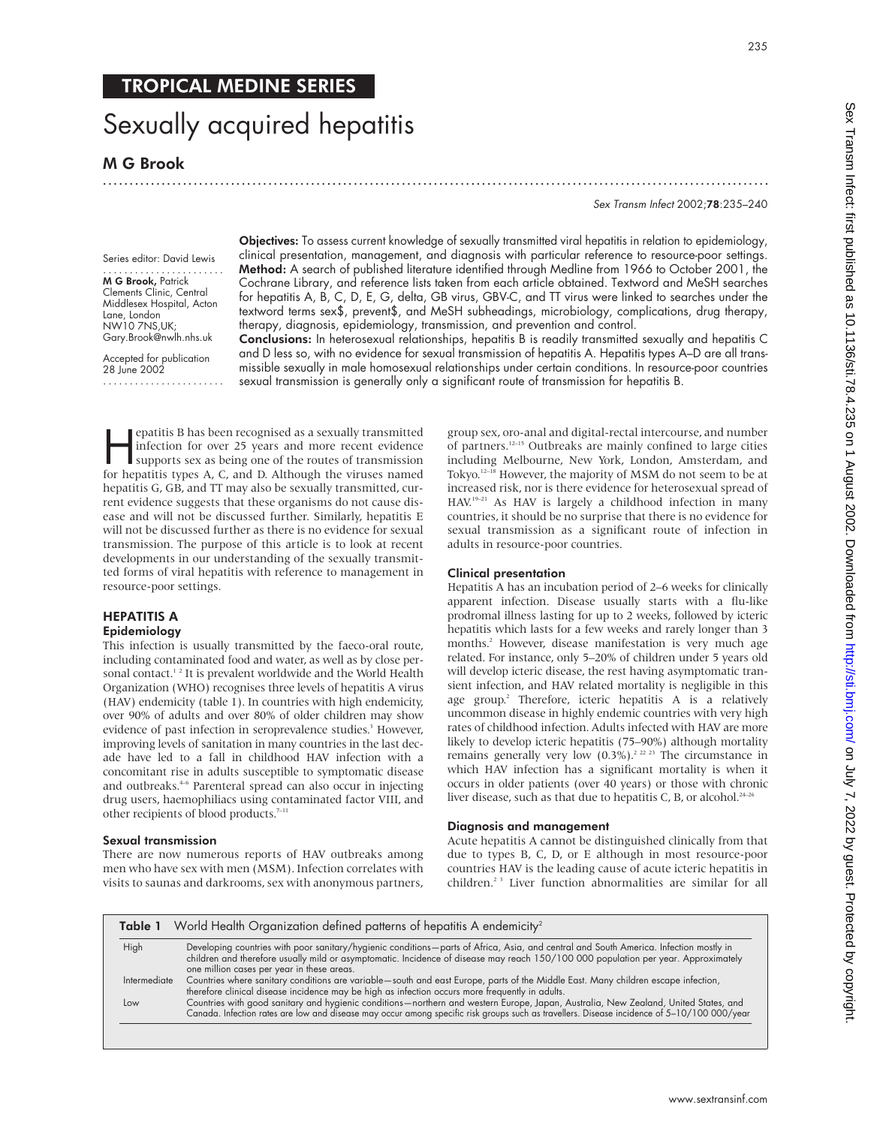# Sexually acquired hepatitis

M G Brook

.............................................................................................................................

Sex Transm Infect 2002;78:235–240

Series editor: David Lewis ....................... M G Brook, Patrick Clements Clinic, Central Middlesex Hospital, Acton Lane, London NW10 7NS,UK; Gary.Brook@nwlh.nhs.uk

Accepted for publication 28 June 2002 ....................... Objectives: To assess current knowledge of sexually transmitted viral hepatitis in relation to epidemiology, clinical presentation, management, and diagnosis with particular reference to resource-poor settings. Method: A search of published literature identified through Medline from 1966 to October 2001, the Cochrane Library, and reference lists taken from each article obtained. Textword and MeSH searches for hepatitis A, B, C, D, E, G, delta, GB virus, GBV-C, and TT virus were linked to searches under the textword terms sex\$, prevent\$, and MeSH subheadings, microbiology, complications, drug therapy, therapy, diagnosis, epidemiology, transmission, and prevention and control.

Conclusions: In heterosexual relationships, hepatitis B is readily transmitted sexually and hepatitis C and D less so, with no evidence for sexual transmission of hepatitis A. Hepatitis types A–D are all transmissible sexually in male homosexual relationships under certain conditions. In resource-poor countries sexual transmission is generally only a significant route of transmission for hepatitis B.

**Example 18 Feature State State State State State State State State State State State State State State State State State State State State State State State State State State State State State State State State State Stat** infection for over 25 years and more recent evidence for hepatitis types A, C, and D. Although the viruses named hepatitis G, GB, and TT may also be sexually transmitted, current evidence suggests that these organisms do not cause disease and will not be discussed further. Similarly, hepatitis E will not be discussed further as there is no evidence for sexual transmission. The purpose of this article is to look at recent developments in our understanding of the sexually transmitted forms of viral hepatitis with reference to management in resource-poor settings.

## HEPATITIS A

### Epidemiology

This infection is usually transmitted by the faeco-oral route, including contaminated food and water, as well as by close personal contact.<sup>12</sup> It is prevalent worldwide and the World Health Organization (WHO) recognises three levels of hepatitis A virus (HAV) endemicity (table 1). In countries with high endemicity, over 90% of adults and over 80% of older children may show evidence of past infection in seroprevalence studies.<sup>3</sup> However, improving levels of sanitation in many countries in the last decade have led to a fall in childhood HAV infection with a concomitant rise in adults susceptible to symptomatic disease and outbreaks. $4-6$  Parenteral spread can also occur in injecting drug users, haemophiliacs using contaminated factor VIII, and other recipients of blood products.<sup>7-11</sup>

#### Sexual transmission

There are now numerous reports of HAV outbreaks among men who have sex with men (MSM). Infection correlates with visits to saunas and darkrooms, sex with anonymous partners, group sex, oro-anal and digital-rectal intercourse, and number of partners.12–15 Outbreaks are mainly confined to large cities including Melbourne, New York, London, Amsterdam, and Tokyo.12–18 However, the majority of MSM do not seem to be at increased risk, nor is there evidence for heterosexual spread of HAV.19–21 As HAV is largely a childhood infection in many countries, it should be no surprise that there is no evidence for sexual transmission as a significant route of infection in adults in resource-poor countries.

#### Clinical presentation

Hepatitis A has an incubation period of 2–6 weeks for clinically apparent infection. Disease usually starts with a flu-like prodromal illness lasting for up to 2 weeks, followed by icteric hepatitis which lasts for a few weeks and rarely longer than 3 months.<sup>2</sup> However, disease manifestation is very much age related. For instance, only 5–20% of children under 5 years old will develop icteric disease, the rest having asymptomatic transient infection, and HAV related mortality is negligible in this age group.<sup>2</sup> Therefore, icteric hepatitis A is a relatively uncommon disease in highly endemic countries with very high rates of childhood infection. Adults infected with HAV are more likely to develop icteric hepatitis (75–90%) although mortality remains generally very low  $(0.3\%)$ <sup>2 22 23</sup> The circumstance in which HAV infection has a significant mortality is when it occurs in older patients (over 40 years) or those with chronic liver disease, such as that due to hepatitis C, B, or alcohol. $24-26$ 

#### Diagnosis and management

Acute hepatitis A cannot be distinguished clinically from that due to types B, C, D, or E although in most resource-poor countries HAV is the leading cause of acute icteric hepatitis in children.2 3 Liver function abnormalities are similar for all

| Table 1 World Health Organization defined patterns of hepatitis A endemicity <sup>2</sup> |                                                                                                                                                                                                                                                                                                                           |  |  |
|-------------------------------------------------------------------------------------------|---------------------------------------------------------------------------------------------------------------------------------------------------------------------------------------------------------------------------------------------------------------------------------------------------------------------------|--|--|
| High                                                                                      | Developing countries with poor sanitary/hygienic conditions-parts of Africa, Asia, and central and South America. Infection mostly in<br>children and therefore usually mild or asymptomatic. Incidence of disease may reach 150/100 000 population per year. Approximately<br>one million cases per year in these areas. |  |  |
| Intermediate                                                                              | Countries where sanitary conditions are variable-south and east Europe, parts of the Middle East. Many children escape infection,<br>therefore clinical disease incidence may be high as infection occurs more frequently in adults.                                                                                      |  |  |
| Low                                                                                       | Countries with good sanitary and hygienic conditions—northern and western Europe, Japan, Australia, New Zealand, United States, and<br>Canada. Infection rates are low and disease may occur among specific risk groups such as travellers. Disease incidence of 5-10/100 000/year                                        |  |  |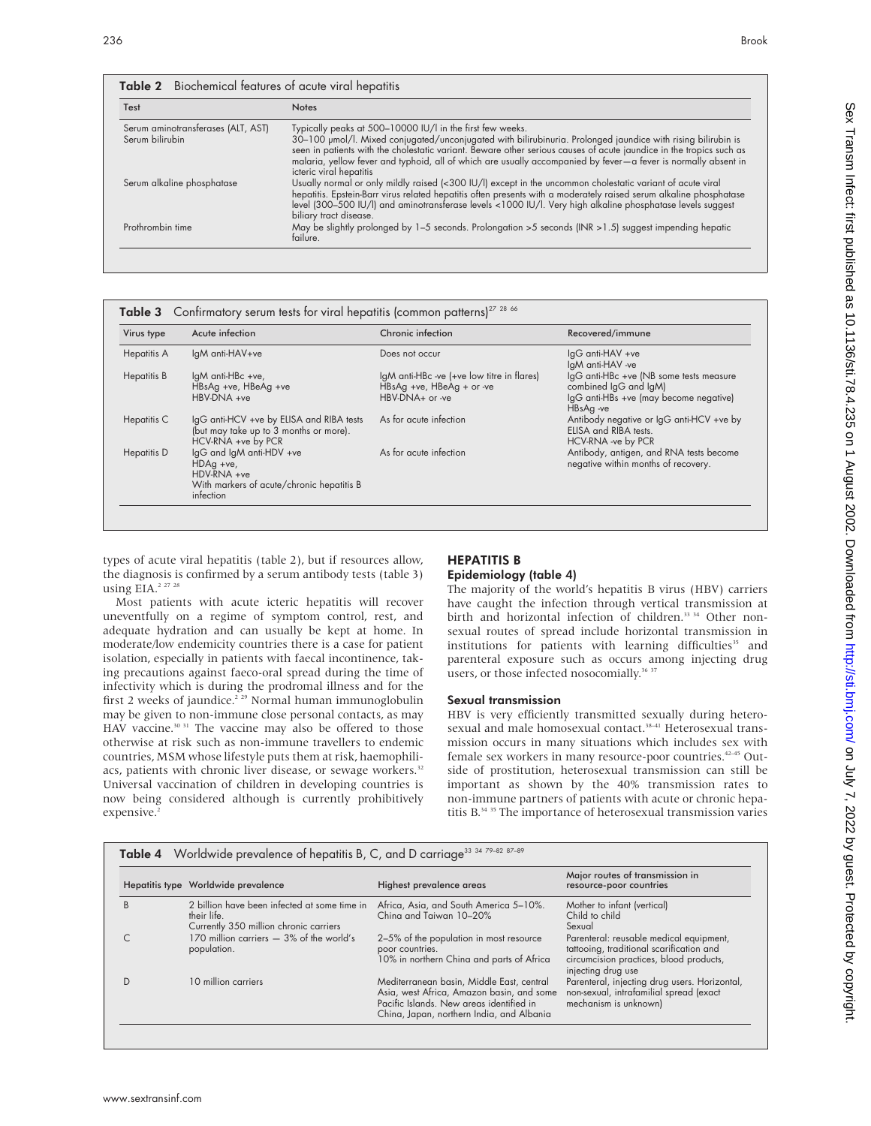| Test                               | <b>Notes</b>                                                                                                                                                                                                                                                                                                                                                                     |
|------------------------------------|----------------------------------------------------------------------------------------------------------------------------------------------------------------------------------------------------------------------------------------------------------------------------------------------------------------------------------------------------------------------------------|
| Serum aminotransferases (ALT, AST) | Typically peaks at 500-10000 IU/I in the first few weeks.                                                                                                                                                                                                                                                                                                                        |
| Serum bilirubin                    | 30-100 µmol/l. Mixed conjugated/unconjugated with bilirubinuria. Prolonged jaundice with rising bilirubin is<br>seen in patients with the cholestatic variant. Beware other serious causes of acute jaundice in the tropics such as<br>malaria, yellow fever and typhoid, all of which are usually accompanied by fever-a fever is normally absent in<br>icteric viral hepatitis |
| Serum alkaline phosphatase         | Usually normal or only mildly raised (<300 IU/I) except in the uncommon cholestatic variant of acute viral<br>hepatitis. Epstein-Barr virus related hepatitis often presents with a moderately raised serum alkaline phosphatase<br>level (300-500 IU/I) and aminotransferase levels <1000 IU/I. Very high alkaline phosphatase levels suggest<br>biliary tract disease.         |
| Prothrombin time                   | May be slightly prolonged by $1-5$ seconds. Prolongation >5 seconds (INR > 1.5) suggest impending hepatic<br>failure.                                                                                                                                                                                                                                                            |

| Virus type         | Acute infection                                                                                                  | Chronic infection                                                                          | Recovered/immune                                                                                                        |
|--------------------|------------------------------------------------------------------------------------------------------------------|--------------------------------------------------------------------------------------------|-------------------------------------------------------------------------------------------------------------------------|
| <b>Hepatitis A</b> | IgM anti-HAV+ve                                                                                                  | Does not occur                                                                             | lgG anti-HAV +ve<br>IgM anti-HAV -ve                                                                                    |
| Hepatitis B        | IgM anti-HBc +ve,<br>HBsAg +ve, HBeAg +ve<br>HBV-DNA +ve                                                         | IgM anti-HBc -ve (+ve low titre in flares)<br>HBsAg +ve, HBeAg + or -ve<br>HBV-DNA+ or -ve | IgG anti-HBc +ve (NB some tests measure<br>combined IgG and IgM)<br>IgG anti-HBs +ve (may become negative)<br>HBsAg -ve |
| Hepatitis C        | IgG anti-HCV +ve by ELISA and RIBA tests<br>(but may take up to 3 months or more).<br>HCV-RNA +ve by PCR         | As for acute infection                                                                     | Antibody negative or IgG anti-HCV +ve by<br>ELISA and RIBA tests.<br>HCV-RNA -ve by PCR                                 |
| Hepatitis D        | lgG and lgM anti-HDV +ve<br>$HDAg +ve,$<br>HDV-RNA +ve<br>With markers of acute/chronic hepatitis B<br>infection | As for acute infection                                                                     | Antibody, antigen, and RNA tests become<br>negative within months of recovery.                                          |

types of acute viral hepatitis (table 2), but if resources allow, the diagnosis is confirmed by a serum antibody tests (table 3) using EIA.<sup>2 27 28</sup>

Most patients with acute icteric hepatitis will recover uneventfully on a regime of symptom control, rest, and adequate hydration and can usually be kept at home. In moderate/low endemicity countries there is a case for patient isolation, especially in patients with faecal incontinence, taking precautions against faeco-oral spread during the time of infectivity which is during the prodromal illness and for the first 2 weeks of jaundice.<sup>2 29</sup> Normal human immunoglobulin may be given to non-immune close personal contacts, as may HAV vaccine.<sup>30 31</sup> The vaccine may also be offered to those otherwise at risk such as non-immune travellers to endemic countries, MSM whose lifestyle puts them at risk, haemophiliacs, patients with chronic liver disease, or sewage workers.<sup>32</sup> Universal vaccination of children in developing countries is now being considered although is currently prohibitively expensive.<sup>2</sup>

#### HEPATITIS B Epidemiology (table 4)

The majority of the world's hepatitis B virus (HBV) carriers have caught the infection through vertical transmission at birth and horizontal infection of children.<sup>33</sup> 34</sup> Other nonsexual routes of spread include horizontal transmission in institutions for patients with learning difficulties<sup>35</sup> and parenteral exposure such as occurs among injecting drug users, or those infected nosocomially.<sup>36</sup><sup>37</sup>

#### Sexual transmission

HBV is very efficiently transmitted sexually during heterosexual and male homosexual contact.<sup>38-41</sup> Heterosexual transmission occurs in many situations which includes sex with female sex workers in many resource-poor countries.42–45 Outside of prostitution, heterosexual transmission can still be important as shown by the 40% transmission rates to non-immune partners of patients with acute or chronic hepatitis B.<sup>34 35</sup> The importance of heterosexual transmission varies

|   | Hepatitis type Worldwide prevalence                                                                   | Highest prevalence areas                                                                                                                                                        | Major routes of transmission in<br>resource-poor countries                                                                                           |
|---|-------------------------------------------------------------------------------------------------------|---------------------------------------------------------------------------------------------------------------------------------------------------------------------------------|------------------------------------------------------------------------------------------------------------------------------------------------------|
| B | 2 billion have been infected at some time in<br>their life.<br>Currently 350 million chronic carriers | Africa, Asia, and South America 5-10%.<br>Ching and Taiwan 10-20%                                                                                                               | Mother to infant (vertical)<br>Child to child<br>Sexual                                                                                              |
|   | 170 million carriers $-3\%$ of the world's<br>population.                                             | 2-5% of the population in most resource<br>poor countries.<br>10% in northern China and parts of Africa                                                                         | Parenteral: reusable medical equipment,<br>tattooing, traditional scarification and<br>circumcision practices, blood products,<br>injecting drug use |
|   | 10 million carriers                                                                                   | Mediterranean basin, Middle East, central<br>Asia, west Africa, Amazon basin, and some<br>Pacific Islands. New areas identified in<br>China, Japan, northern India, and Albania | Parenteral, injecting drug users. Horizontal,<br>non-sexual, intrafamilial spread (exact<br>mechanism is unknown)                                    |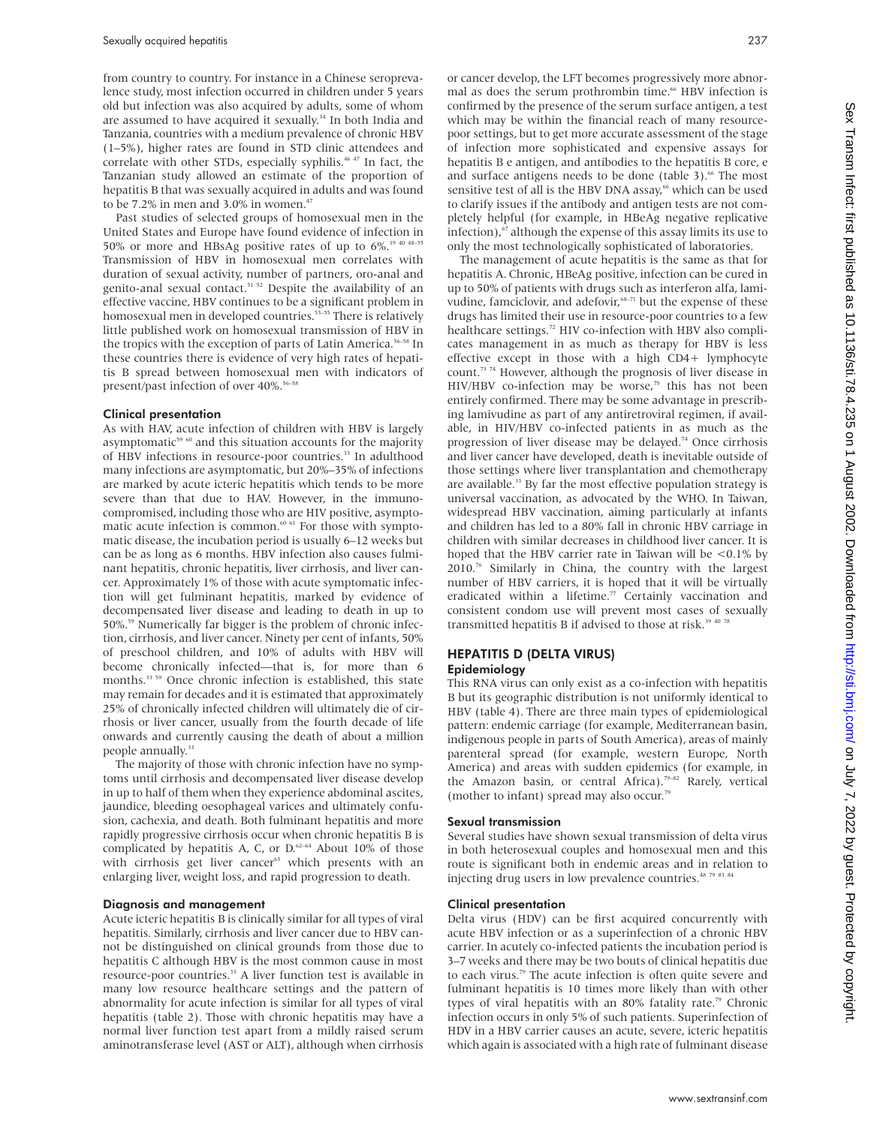from country to country. For instance in a Chinese seroprevalence study, most infection occurred in children under 5 years old but infection was also acquired by adults, some of whom are assumed to have acquired it sexually.<sup>34</sup> In both India and Tanzania, countries with a medium prevalence of chronic HBV (1–5%), higher rates are found in STD clinic attendees and correlate with other STDs, especially syphilis.<sup>46 47</sup> In fact, the Tanzanian study allowed an estimate of the proportion of hepatitis B that was sexually acquired in adults and was found to be 7.2% in men and 3.0% in women.<sup>47</sup>

Past studies of selected groups of homosexual men in the United States and Europe have found evidence of infection in 50% or more and HBsAg positive rates of up to 6%.<sup>39 40 48-55</sup> Transmission of HBV in homosexual men correlates with duration of sexual activity, number of partners, oro-anal and genito-anal sexual contact.<sup>51 52</sup> Despite the availability of an effective vaccine, HBV continues to be a significant problem in homosexual men in developed countries.<sup>53-55</sup> There is relatively little published work on homosexual transmission of HBV in the tropics with the exception of parts of Latin America.<sup>56-58</sup> In these countries there is evidence of very high rates of hepatitis B spread between homosexual men with indicators of present/past infection of over 40%.<sup>56-58</sup>

#### Clinical presentation

As with HAV, acute infection of children with HBV is largely asymptomatic $59\,60$  and this situation accounts for the majority of HBV infections in resource-poor countries.<sup>33</sup> In adulthood many infections are asymptomatic, but 20%–35% of infections are marked by acute icteric hepatitis which tends to be more severe than that due to HAV. However, in the immunocompromised, including those who are HIV positive, asymptomatic acute infection is common.<sup>60 61</sup> For those with symptomatic disease, the incubation period is usually 6–12 weeks but can be as long as 6 months. HBV infection also causes fulminant hepatitis, chronic hepatitis, liver cirrhosis, and liver cancer. Approximately 1% of those with acute symptomatic infection will get fulminant hepatitis, marked by evidence of decompensated liver disease and leading to death in up to 50%.59 Numerically far bigger is the problem of chronic infection, cirrhosis, and liver cancer. Ninety per cent of infants, 50% of preschool children, and 10% of adults with HBV will become chronically infected—that is, for more than 6 months.<sup>33 59</sup> Once chronic infection is established, this state may remain for decades and it is estimated that approximately 25% of chronically infected children will ultimately die of cirrhosis or liver cancer, usually from the fourth decade of life onwards and currently causing the death of about a million people annually.<sup>33</sup>

The majority of those with chronic infection have no symptoms until cirrhosis and decompensated liver disease develop in up to half of them when they experience abdominal ascites, jaundice, bleeding oesophageal varices and ultimately confusion, cachexia, and death. Both fulminant hepatitis and more rapidly progressive cirrhosis occur when chronic hepatitis B is complicated by hepatitis A, C, or  $D.62-64$  About 10% of those with cirrhosis get liver cancer<sup>65</sup> which presents with an enlarging liver, weight loss, and rapid progression to death.

#### Diagnosis and management

Acute icteric hepatitis B is clinically similar for all types of viral hepatitis. Similarly, cirrhosis and liver cancer due to HBV cannot be distinguished on clinical grounds from those due to hepatitis C although HBV is the most common cause in most resource-poor countries.<sup>33</sup> A liver function test is available in many low resource healthcare settings and the pattern of abnormality for acute infection is similar for all types of viral hepatitis (table 2). Those with chronic hepatitis may have a normal liver function test apart from a mildly raised serum aminotransferase level (AST or ALT), although when cirrhosis

or cancer develop, the LFT becomes progressively more abnormal as does the serum prothrombin time.<sup>66</sup> HBV infection is confirmed by the presence of the serum surface antigen, a test which may be within the financial reach of many resourcepoor settings, but to get more accurate assessment of the stage of infection more sophisticated and expensive assays for hepatitis B e antigen, and antibodies to the hepatitis B core, e and surface antigens needs to be done (table 3).<sup>66</sup> The most sensitive test of all is the HBV DNA assay,<sup>66</sup> which can be used to clarify issues if the antibody and antigen tests are not completely helpful (for example, in HBeAg negative replicative infection), $67$  although the expense of this assay limits its use to only the most technologically sophisticated of laboratories.

The management of acute hepatitis is the same as that for hepatitis A. Chronic, HBeAg positive, infection can be cured in up to 50% of patients with drugs such as interferon alfa, lamivudine, famciclovir, and adefovir,<sup>68-71</sup> but the expense of these drugs has limited their use in resource-poor countries to a few healthcare settings.<sup>72</sup> HIV co-infection with HBV also complicates management in as much as therapy for HBV is less effective except in those with a high CD4+ lymphocyte count.73 74 However, although the prognosis of liver disease in HIV/HBV co-infection may be worse,<sup>75</sup> this has not been entirely confirmed. There may be some advantage in prescribing lamivudine as part of any antiretroviral regimen, if available, in HIV/HBV co-infected patients in as much as the progression of liver disease may be delayed.74 Once cirrhosis and liver cancer have developed, death is inevitable outside of those settings where liver transplantation and chemotherapy are available.<sup>33</sup> By far the most effective population strategy is universal vaccination, as advocated by the WHO. In Taiwan, widespread HBV vaccination, aiming particularly at infants and children has led to a 80% fall in chronic HBV carriage in children with similar decreases in childhood liver cancer. It is hoped that the HBV carrier rate in Taiwan will be <0.1% by 2010.76 Similarly in China, the country with the largest number of HBV carriers, it is hoped that it will be virtually eradicated within a lifetime.<sup>77</sup> Certainly vaccination and consistent condom use will prevent most cases of sexually transmitted hepatitis B if advised to those at risk.<sup>39 40 7</sup>

#### HEPATITIS D (DELTA VIRUS) Epidemiology

This RNA virus can only exist as a co-infection with hepatitis B but its geographic distribution is not uniformly identical to HBV (table 4). There are three main types of epidemiological pattern: endemic carriage (for example, Mediterranean basin, indigenous people in parts of South America), areas of mainly parenteral spread (for example, western Europe, North America) and areas with sudden epidemics (for example, in the Amazon basin, or central Africa).<sup>79-82</sup> Rarely, vertical (mother to infant) spread may also occur.79

#### Sexual transmission

Several studies have shown sexual transmission of delta virus in both heterosexual couples and homosexual men and this route is significant both in endemic areas and in relation to injecting drug users in low prevalence countries. $48\frac{79\frac{83}{84}}{298\frac{84}{84}}$ 

#### Clinical presentation

Delta virus (HDV) can be first acquired concurrently with acute HBV infection or as a superinfection of a chronic HBV carrier. In acutely co-infected patients the incubation period is 3–7 weeks and there may be two bouts of clinical hepatitis due to each virus.<sup>79</sup> The acute infection is often quite severe and fulminant hepatitis is 10 times more likely than with other types of viral hepatitis with an  $80\%$  fatality rate.<sup>79</sup> Chronic infection occurs in only 5% of such patients. Superinfection of HDV in a HBV carrier causes an acute, severe, icteric hepatitis which again is associated with a high rate of fulminant disease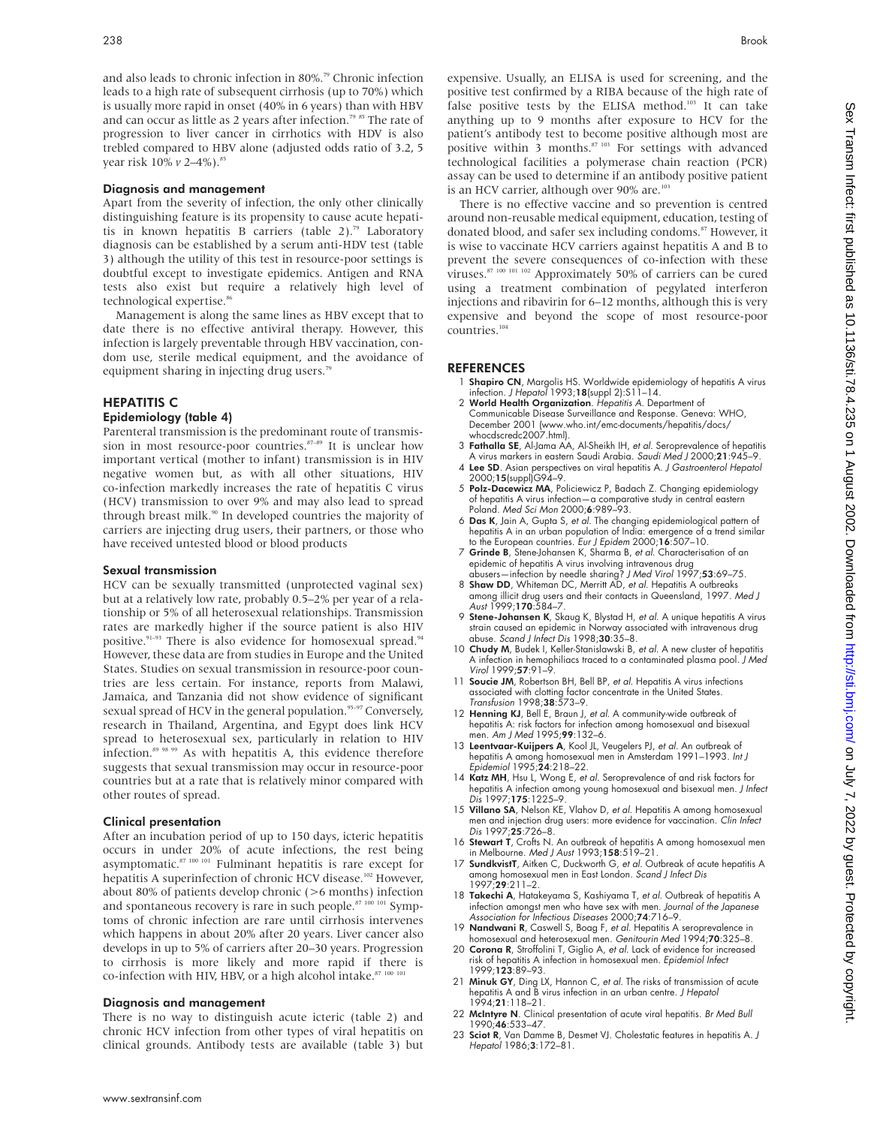and also leads to chronic infection in 80%.<sup>79</sup> Chronic infection leads to a high rate of subsequent cirrhosis (up to 70%) which is usually more rapid in onset (40% in 6 years) than with HBV and can occur as little as 2 years after infection.<sup>79 85</sup> The rate of progression to liver cancer in cirrhotics with HDV is also trebled compared to HBV alone (adjusted odds ratio of 3.2, 5 year risk 10%  $v$  2–4%).<sup>85</sup>

#### Diagnosis and management

Apart from the severity of infection, the only other clinically distinguishing feature is its propensity to cause acute hepatitis in known hepatitis B carriers (table 2).<sup>79</sup> Laboratory diagnosis can be established by a serum anti-HDV test (table 3) although the utility of this test in resource-poor settings is doubtful except to investigate epidemics. Antigen and RNA tests also exist but require a relatively high level of technological expertise.<sup>86</sup>

Management is along the same lines as HBV except that to date there is no effective antiviral therapy. However, this infection is largely preventable through HBV vaccination, condom use, sterile medical equipment, and the avoidance of equipment sharing in injecting drug users.<sup>79</sup>

#### HEPATITIS C

#### Epidemiology (table 4)

Parenteral transmission is the predominant route of transmission in most resource-poor countries.<sup>87-89</sup> It is unclear how important vertical (mother to infant) transmission is in HIV negative women but, as with all other situations, HIV co-infection markedly increases the rate of hepatitis C virus (HCV) transmission to over 9% and may also lead to spread through breast milk.<sup>90</sup> In developed countries the majority of carriers are injecting drug users, their partners, or those who have received untested blood or blood products

#### Sexual transmission

HCV can be sexually transmitted (unprotected vaginal sex) but at a relatively low rate, probably 0.5–2% per year of a relationship or 5% of all heterosexual relationships. Transmission rates are markedly higher if the source patient is also HIV positive.<sup>91-93</sup> There is also evidence for homosexual spread.<sup>94</sup> However, these data are from studies in Europe and the United States. Studies on sexual transmission in resource-poor countries are less certain. For instance, reports from Malawi, Jamaica, and Tanzania did not show evidence of significant sexual spread of HCV in the general population.<sup>95-97</sup> Conversely, research in Thailand, Argentina, and Egypt does link HCV spread to heterosexual sex, particularly in relation to HIV infection.<sup>89 98 99</sup> As with hepatitis A, this evidence therefore suggests that sexual transmission may occur in resource-poor countries but at a rate that is relatively minor compared with other routes of spread.

#### Clinical presentation

After an incubation period of up to 150 days, icteric hepatitis occurs in under 20% of acute infections, the rest being asymptomatic. $87 100 101$  Fulminant hepatitis is rare except for hepatitis A superinfection of chronic HCV disease.<sup>102</sup> However, about 80% of patients develop chronic (>6 months) infection and spontaneous recovery is rare in such people.<sup>87 100 101</sup> Symptoms of chronic infection are rare until cirrhosis intervenes which happens in about 20% after 20 years. Liver cancer also develops in up to 5% of carriers after 20–30 years. Progression to cirrhosis is more likely and more rapid if there is co-infection with HIV, HBV, or a high alcohol intake. $87/100/10$ 

#### Diagnosis and management

There is no way to distinguish acute icteric (table 2) and chronic HCV infection from other types of viral hepatitis on clinical grounds. Antibody tests are available (table 3) but expensive. Usually, an ELISA is used for screening, and the positive test confirmed by a RIBA because of the high rate of false positive tests by the ELISA method.<sup>103</sup> It can take anything up to 9 months after exposure to HCV for the patient's antibody test to become positive although most are positive within 3 months.<sup>87 103</sup> For settings with advanced technological facilities a polymerase chain reaction (PCR) assay can be used to determine if an antibody positive patient is an HCV carrier, although over  $90\%$  are.<sup>103</sup>

There is no effective vaccine and so prevention is centred around non-reusable medical equipment, education, testing of donated blood, and safer sex including condoms.<sup>87</sup> However, it is wise to vaccinate HCV carriers against hepatitis A and B to prevent the severe consequences of co-infection with these viruses.<sup>87 100 101 102</sup> Approximately 50% of carriers can be cured using a treatment combination of pegylated interferon injections and ribavirin for 6–12 months, although this is very expensive and beyond the scope of most resource-poor countries.104

#### **REFERENCES**

- 1 **Shapiro CN**, Margolis HS. Worldwide epidemiology of hepatitis A virus<br>infection. *J Hepatol* 1993;**18**(suppl 2):S11–14.<br>2 **World Health Organization**. *Hepatitis A.* Department of
- Communicable Disease Surveillance and Response. Geneva: WHO, December 2001 (www.who.int/emc-documents/hepatitis/docs/ whocdscredc2007.html).
- 3 Fathalla SE, Al-Jama AA, Al-Sheikh IH, et al. Seroprevalence of hepatitis
- A virus markers in eastern Saudi Arabia. Saudi Med J 2000;21:945–9. 4 Lee SD. Asian perspectives on viral hepatitis A. J Gastroenterol Hepatol 2000;15(suppl)G94–9.
- 5 Polz-Dacewicz MA, Policiewicz P, Badach Z. Changing epidemiology
- of hepatitis A virus infection—a comparative study in central eastern Poland. Med Sci Mon 2000;6:989–93.
- 6 Das K, Jain A, Gupta S, et al. The changing epidemiological pattern of hepatitis A in an urban population of India: emergence of a trend similar to the European countries. Eur J Epidem 2000;16:507–10.
- 7 Grinde B, Stene-Johansen K, Sharma B, et al. Characterisation of an epidemic ot hepatitis A virus involving intravenous drug<br>abusers—infection by needle sharing? *J Med Virol* 1997;**53**:69–75.
- 8 Shaw DD, Whiteman DC, Merritt AD, et al. Hepatitis A outbreaks among illicit drug users and their contacts in Queensland, 1997. Med J<br>Aust 1999;**170**:584–7.
- 9 Stene-Johansen K, Skaug K, Blystad H, et al. A unique hepatitis A virus strain caused an epidemic in Norway associated with intravenous drug abuse. Scand J Infect Dis 1998;30:35–8.
- 10 Chudy M, Budek I, Keller-Stanislawski B, et al. A new cluster of hepatitis A infection in hemophiliacs traced to a contaminated plasma pool. J Med Virol 1999;57:91–9.
- 11 Soucie JM, Robertson BH, Bell BP, et al. Hepatitis A virus infections associated with clotting factor concentrate in the United States. Transfusion 1998;38:573–9.
- 12 Henning KJ, Bell E, Braun J, et al. A community-wide outbreak of hepatitis A: risk factors for infection among homosexual and bisexual men. Am J Med 1995;99:132–6.
- 13 Leentvaar-Kuijpers A, Kool JL, Veugelers PJ, et al. An outbreak of hepatitis A among homosexual men in Amsterdam 1991–1993. Int J Epidemiol 1995;24:218–22.
- 14 Katz MH, Hsu L, Wong E, et al. Seroprevalence of and risk factors for hepatitis A infection among young homosexual and bisexual men. J Infect Dis 1997;175:1225–9.
- 15 Villano SA, Nelson KE, Vlahov D, et al. Hepatitis A among homosexual men and injection drug users: more evidence for vaccination. Clin Infect Dis 1997;25:726–8.
- 16 Stewart T, Crofts N. An outbreak of hepatitis A among homosexual men in Melbourne. Med J Aust 1993;158:519–21.
- 17 SundkvistT, Aitken C, Duckworth G, et al. Outbreak of acute hepatitis A among homosexual men in East London. Scand J Infect Dis 1997;29:211–2.
- 18 Takechi A, Hatakeyama S, Kashiyama T, et al. Outbreak of hepatitis A infection amongst men who have sex with men. Journal of the Japanese Association for Infectious Diseases 2000;74:716–9.
- 19 Nandwani R, Caswell S, Boag F, et al. Hepatitis A seroprevalence in homosexual and heterosexual men. Genitourin Med 1994;70:325–8.
- 20 Corona R, Stroffolini T, Giglio A, et al. Lack of evidence for increased risk of hepatitis A infection in homosexual men. Epidemiol Infect 1999;123:89–93.
- 21 Minuk GY, Ding LX, Hannon C, et al. The risks of transmission of acute hepatitis A and B virus infection in an urban centre. *J Hepatol*<br>1994;**21**:118–21.
- 22 McIntyre N. Clinical presentation of acute viral hepatitis. Br Med Bull 1990;46:533–47.
- 23 Sciot R, Van Damme B, Desmet VJ. Cholestatic features in hepatitis A. J Hepatol 1986;3:172–81.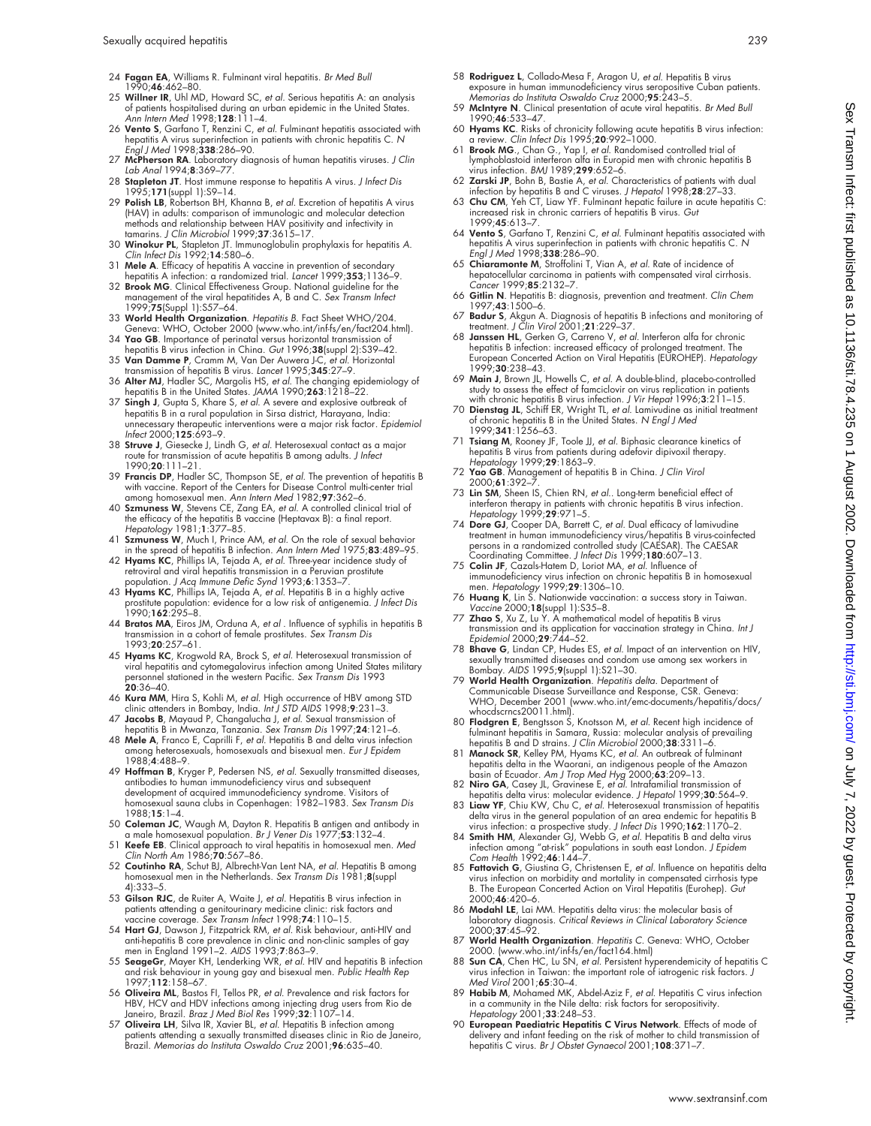- 24 Fagan EA, Williams R. Fulminant viral hepatitis. Br Med Bull 1990;46:462–80.
- 25 Willner IR, Uhl MD, Howard SC, et al. Serious hepatitis A: an analysis of patients hospitalised during an urban epidemic in the United States.<br>*Ann Intern Med* 1998;**128**:111–4.
- 26 Vento S, Garfano T, Renzini C, et al. Fulminant hepatitis associated with hepatitis A virus superinfection in patients with chronic hepatitis C. N Engl J Med 1998;338:286–90.
- 27 McPherson RA. Laboratory diagnosis of human hepatitis viruses. J Clin Lab Anal 1994;8:369–77.
- 28 Stapleton JT. Host immune response to hepatitis A virus. J Infect Dis 1995;171(suppl 1):S9–14.
- 29 Polish LB, Robertson BH, Khanna B, et al. Excretion of hepatitis A virus (HAV) in adults: comparison of immunologic and molecular detection methods and relationship between HAV positivity and infectivity in<br>tamarins. J Clin Microbiol 1999;**37**:3615–17.<br>30 **Winokur PL**, Stapleton JT. Immunoglobulin prophylaxis for hepatitis A.<br>*Clin Infect Dis* 1992;14:580–6.
- 
- 31 Mele A. Efficacy of hepatitis A vaccine in prevention of secondary
- hepatitis A infection: a randomized trial. Lancet 1999;**35**3;1136–9.<br>32 **Brook MG**. Clinical Effectiveness Group. National guideline for the<br>management of the viral hepatitides A, B and C. *Sex Transm Infect* 1999;75(Suppl 1):S57–64.
- 33 World Health Organization. Hepatitis B. Fact Sheet WHO/204. Geneva: WHO, October 2000 (www.who.int/inf-fs/en/fact204.html).
- 34 **Yao GB**. Importance of perinatal versus horizontal transmission of<br>hepatitis B virus infection in China. *Gut* 1996;**38**(suppl 2):S39–42.<br>35 **Van Damme P**, Cramm M, Van Der Auwera J-C, *et al*. Horizontal
- transmission of hepatitis B virus. Lancet 1995;345:27–9.
- 36 Alter MJ, Hadler SC, Margolis HS, et al. The changing epidemiology of hepatitis B in the United States. JAMA 1990;263:1218–22. 37 Singh J, Gupta S, Khare S, et al. A severe and explosive outbreak of
- hepatitis B in a rural population in Sirsa district, Harayana, India: unnecessary therapeutic interventions were a major risk factor*. Epidemiol*<br>I*nfect* 2000;**125**:693–9.
- 38 Struve J, Giesecke J, Lindh G, et al. Heterosexual contact as a major route for transmission of acute hepatitis B among adults. J Infect 1990;20:111–21.
- 39 Francis DP, Hadler SC, Thompson SE, et al. The prevention of hepatitis B with vaccine. Report of the Centers for Disease Control multi-center trial among homosexual men. Ann Intern Med 1982;97:362–6.
- 40 Szmuness W, Stevens CE, Zang EA, et al. A controlled clinical trial of the efficacy of the hepatitis B vaccine (Heptavax B): a final report. Hepatology 1981;1:377–85.
- 41 Szmuness W, Much I, Prince AM, et al. On the role of sexual behavior
- in the spread of hepatitis B infection. *Ann Intern Med* 1975;**83**:489–95.<br>42 **Hyams KC**, Phillips IA, Tejada A, *et al*. Three-year incidence study of retroviral and viral hepatitis transmission in a Peruvian prostitute population. J Acq Immune Defic Synd 1993;6:1353–7.
- 43 Hyams KC, Phillips IA, Tejada A, et al. Hepatitis B in a highly active prostitute population: evidence for a low risk of antigenemia. J Infect Dis 1990;162:295–8.
- 44 Bratos MA, Eiros JM, Orduna A, et al . Influence of syphilis in hepatitis B transmission in a cohort of female prostitutes. Sex Transm Dis 1993;20:257–61.
- 45 Hyams KC, Krogwold RA, Brock S, et al. Heterosexual transmission of viral hepatitis and cytomegalovirus infection among United States military<br>personnel stationed in the western Pacific. *Sex Transm Dis* 1993 20:36–40.
- 46 Kura MM, Hira S, Kohli M, et al. High occurrence of HBV among STD clinic attenders in Bombay, India. Int J STD AIDS 1998;9:231–3.
- 47 Jacobs B, Mayaud P, Changalucha J, et al. Sexual transmission of hepatitis B in Mwanza, Tanzania. Sex Transm Dis 1997;24:121–6.
- 48 Mele A, Franco E, Caprilli F, et al. Hepatitis B and delta virus infection among heterosexuals, homosexuals and bisexual men. Eur J Epidem 1988;4:488–9.
- 49 Hoffman B, Kryger P, Pedersen NS, et al. Sexually transmitted diseases, antibodies to human immunodeficiency virus and subsequent development of acquired immunodeficiency syndrome. Visitors of homosexual sauna clubs in Copenhagen: 1982–1983. Sex Transm Dis 1988;15:1–4.
- 50 **Coleman JC**, Waugh M, Dayton R. Hepatitis B antigen and antibody in<br>| a male homosexual population. *Br J Vener Dis* 1977;**53**:132–4.<br>| **Keefe EB**. Clinical approach to viral hepatitis in homosexual men. *Med*
- Clin North Am 1986;70:567-86.
- 52 Coutinho RA, Schut BJ, Albrecht-Van Lent NA, et al. Hepatitis B among homosexual men in the Netherlands. Sex Transm Dis 1981;8(suppl 4):333–5.
- 53 Gilson RJC, de Ruiter A, Waite J, et al. Hepatitis B virus infection in patients attending a genitourinary medicine clinic: risk factors and vaccine coverage. *Sex Transm Infect* 1998;74:110–15.
- 54 Hart GJ, Dawson J, Fitzpatrick RM, et al. Risk behaviour, anti-HIV and anti-hepatitis B core prevalence in clinic and non-clinic samples of gay men in England 1991–2. AIDS 1993;7:863–9.
- 55 SeageGr, Mayer KH, Lenderking WR, et al. HIV and hepatitis B infection and risk behaviour in young gay and bisexual men. Public Health Rep 1997;112:158–67.
- 56 **Oliveira ML**, Bastos FI, Tellos PR, *et al.* Prevalence and risk factors for<br>HBV, HCV and HDV infections among injecting drug users from Rio de<br>Janeiro, Brazil. *Braz J Med Biol Res* 1999;**32**:1107–14.
- 57 Oliveira LH, Silva IR, Xavier BL, et al. Hepatitis B infection among patients attending a sexually transmitted diseases clinic in Rio de Janeiro, Brazil. Memorias do Instituta Oswaldo Cruz 2001;96:635–40.
- 58 **Rodriguez L**, Collado-Mesa F, Aragon U, *et al.* Hepatitis B virus<br>exposure in human immunodeficiency virus seropositive Cuban patients.<br>Memorias do Instituta Oswaldo Cruz 2000;**95**:243–5.
- 59 McIntyre N. Clinical presentation of acute viral hepatitis. Br Med Bull 1990;46:533–47.
- 60 Hyams KC. Risks of chronicity following acute hepatitis B virus infection: a review. Clin Infect Dis 1995;20:992–1000.
- 61 Brook MG., Chan G., Yap I, et al. Randomised controlled trial of lymphoblastoid interferon alfa in Europid men with chronic hepatitis B virus infection. BMJ 1989;299:652–6.
- 62 Zarski JP, Bohn B, Bastie A, *et al*. Characteristics of patients with dual<br>infection by hepatitis B and C viruses. *J Hepatol* 1998;28:27–33.<br>63 Chu CM, Yeh CT, Liaw YF. Fulminant hepatic failure in acute hepatitis C:
- increased risk in chronic carriers of hepatitis B virus. Gut 1999;45:613–7.
- 64 Vento S, Garfano T, Renzini C, et al. Fulminant hepatitis associated with hepatitis A virus superinfection in patients with chronic hepatitis C. N Engl J Med 1998;338:286–90.
- 65 Chiaramonte M, Stroffolini T, Vian A, et al. Rate of incidence of hepatocellular carcinoma in patients with compensated viral cirrhosis. Cancer 1999;**85**:2132-7.
- 66 Gitlin N. Hepatitis B: diagnosis, prevention and treatment. Clin Chem 1997;43:1500–6.
- 67 Badur S, Akgun A. Diagnosis of hepatitis B infections and monitoring of treatment. J Clin Virol 2001;21:229–37.
- 68 Janssen HL, Gerken G, Carreno V, et al. Interferon alfa for chronic hepatitis B infection: increased efficacy of prolonged treatment. The<br>European Concerted Action on Viral Hepatitis (EUROHEP). *Hepatology* 1999;30:238–43.
- 69 Main J, Brown JL, Howells C, et al. A double-blind, placebo-controlled study to assess the effect of famciclovir on virus replication in patients
- with chronic hepatitis B virus infection. J Vir Hepat 1996;3:211–15.<br>70 **Dienstag JL**, Schiff ER, Wright TL, *et al*. Lamivudine as initial treatment<br>of chronic hepatitis B in the United States. N Engl J Med 1999;341:1256–63.
- 71 Tsiang M, Rooney JF, Toole JJ, et al. Biphasic clearance kinetics of hepatitis B virus from patients during adefovir dipivoxil therapy.<br>Hepatology 1999;29:1863–9.<br>T2 **Yao GB**. Management of hepatitis B in China. *J Clin Virol*
- 2000;61:392–7.
- 73 Lin SM, Sheen IS, Chien RN, et al.. Long-term beneficial effect of interferon therapy in patients with chronic hepatitis B virus infection.<br>Hepatology 1999;**29**:971–5.<br>74 **Dore GJ**, Cooper DA, Barrett C, *et al*. Dual efficacy of lamivudine
- treatment in human immunodeficiency virus/hepatitis B virus-coinfected<br>persons in a randomized controlled study (CAESAR). The CAESAR<br>Coordinating Committee. *J Infect Dis* 1999;**180**:607–13.
- 75 Colin JF, Cazals-Hatem D, Loriot MA, et al. Influence of immunodeficiency virus infection on chronic hepatitis B in homosexual<br>men. *Hepatology* 1999;**29**:1306–10.<br>76 **Huang K**, Lin S. Nationwide vaccination: a success story in Taiwan.
- Vaccine 2000;18(suppl 1):S35–8.
- 77 Zhao S, Xu Z, Lu Y. A mathematical model of hepatitis B virus transmission and its application for vaccination strategy in China. I*nt J*<br>Epidemiol 2000;29:744–52.<br>78 **Bhave G,** Lindan CP, Hudes ES, *et al*. Impact of an intervention on HIV,
- sexually transmitted diseases and condom use among sex workers in Bombay. AIDS 1995;9(suppl 1):S21–30.
- 79 World Health Organization. Hepatitis delta. Department of Communicable Disease Surveillance and Response, CSR. Geneva: WHO, December 2001 (www.who.int/emc-documents/hepatitis/docs/ whocdscrncs20011.html).
- 80 Flodgren E, Bengtsson S, Knotsson M, et al. Recent high incidence of fulminant hepatitis in Samara, Russia: molecular analysis of prevailing hepatitis B and D strains. J Clin Microbiol 2000;38:3311-6
- 81 Manock SR, Kelley PM, Hyams KC, et al. An outbreak of fulminant hepatitis delta in the Waorani, an indigenous people of the Amazon<br>basin of Ecuador. A*m J Trop Med Hyg* 2000;**63**:209–13.<br>82 **Niro GA**, Casey JL, Gravinese E, *et al*. Intrafamilial transmission of
- hepatitis delta virus: molecular evidence. J Hepatol 1999;30:564-9.
- 83 Liaw YF, Chiu KW, Chu C, *et al.* Heterosexual transmission of hepatitis<br>delta virus in the general population of an area endemic for hepatitis b<br>virus infection: a prospective study. *J* Infect Dis 1990;162:1170–2.<br>84
- infection among "at-risk" populations in south east London. *J Epidem*<br>Co*m Health* 1992;**46**:144–7.<br>85 **Fattovich G**, Giustina G, Christensen E, *et al*. Influence on hepatitis delta
- virus infection on morbidity and mortality in compensated cirrhosis type B. The European Concerted Action on Viral Hepatitis (Eurohep). Gut 2000;46:420–6.
- 86 Modahl LE, Lai MM. Hepatitis delta virus: the molecular basis of laboratory diagnosis. Critical Reviews in Clinical Laboratory Science 2000;37:45–92.
- 
- 87 World Health Organization. *Hepatitis* C. Geneva: WHO, October<br>2000. (www.who.int/inf-fs/en/fact164.html)<br>88 Sun CA, Chen HC, Lu SN, *et al.* Persistent hyperendemicity of hepatitis C<br>virus infection in Taiwan: the impo Med Virol 2001;65:30–4.
- 89 Habib M, Mohamed MK, Abdel-Aziz F, et al. Hepatitis C virus infection in a community in the Nile delta: risk factors for seropositivity. Hepatology 2001;33:248–53.
- 90 European Paediatric Hepatitis C Virus Network. Effects of mode of delivery and infant feeding on the risk of mother to child transmission of hepatitis C virus. Br J Obstet Gynaecol 2001;108:371-7.